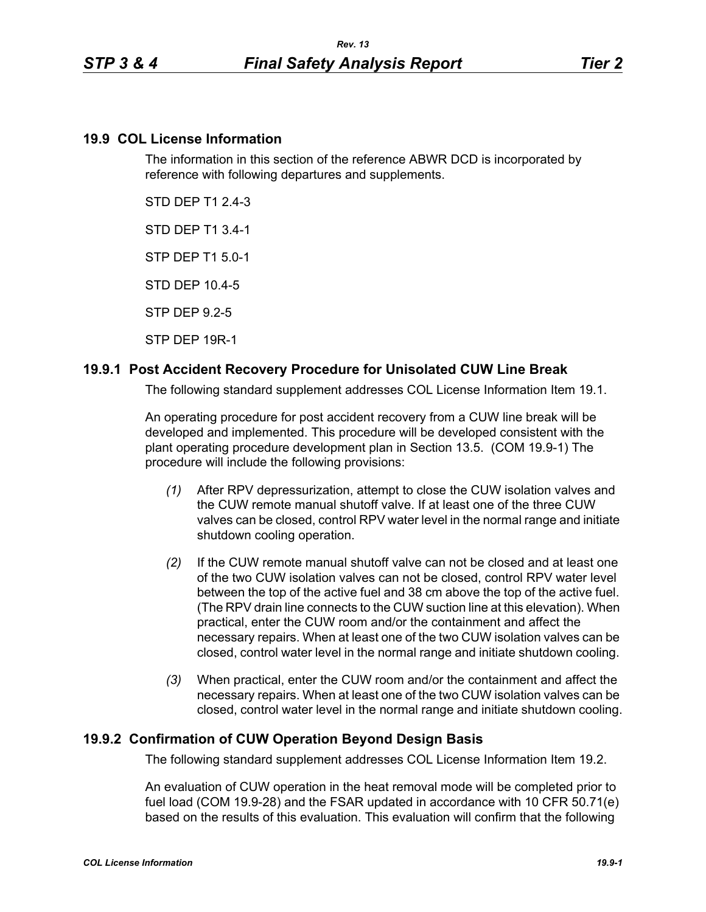### **19.9 COL License Information**

The information in this section of the reference ABWR DCD is incorporated by reference with following departures and supplements.

STD DEP T1 2.4-3

STD DEP T1 3.4-1

STP DEP T1 5.0-1

STD DEP 10.4-5

STP DEP 9.2-5

STP DEP 19R-1

### **19.9.1 Post Accident Recovery Procedure for Unisolated CUW Line Break**

The following standard supplement addresses COL License Information Item 19.1.

An operating procedure for post accident recovery from a CUW line break will be developed and implemented. This procedure will be developed consistent with the plant operating procedure development plan in Section 13.5. (COM 19.9-1) The procedure will include the following provisions:

- *(1)* After RPV depressurization, attempt to close the CUW isolation valves and the CUW remote manual shutoff valve. If at least one of the three CUW valves can be closed, control RPV water level in the normal range and initiate shutdown cooling operation.
- *(2)* If the CUW remote manual shutoff valve can not be closed and at least one of the two CUW isolation valves can not be closed, control RPV water level between the top of the active fuel and 38 cm above the top of the active fuel. (The RPV drain line connects to the CUW suction line at this elevation). When practical, enter the CUW room and/or the containment and affect the necessary repairs. When at least one of the two CUW isolation valves can be closed, control water level in the normal range and initiate shutdown cooling.
- *(3)* When practical, enter the CUW room and/or the containment and affect the necessary repairs. When at least one of the two CUW isolation valves can be closed, control water level in the normal range and initiate shutdown cooling.

### **19.9.2 Confirmation of CUW Operation Beyond Design Basis**

The following standard supplement addresses COL License Information Item 19.2.

An evaluation of CUW operation in the heat removal mode will be completed prior to fuel load (COM 19.9-28) and the FSAR updated in accordance with 10 CFR 50.71(e) based on the results of this evaluation. This evaluation will confirm that the following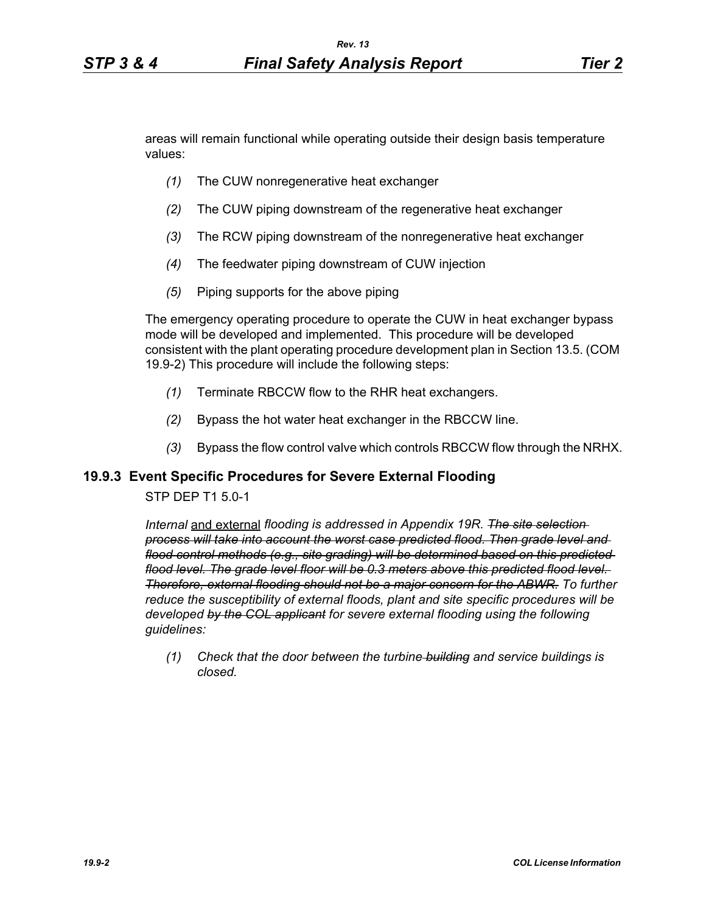areas will remain functional while operating outside their design basis temperature values:

- *(1)* The CUW nonregenerative heat exchanger
- *(2)* The CUW piping downstream of the regenerative heat exchanger
- *(3)* The RCW piping downstream of the nonregenerative heat exchanger
- *(4)* The feedwater piping downstream of CUW injection
- *(5)* Piping supports for the above piping

The emergency operating procedure to operate the CUW in heat exchanger bypass mode will be developed and implemented. This procedure will be developed consistent with the plant operating procedure development plan in Section 13.5. (COM 19.9-2) This procedure will include the following steps:

- *(1)* Terminate RBCCW flow to the RHR heat exchangers.
- *(2)* Bypass the hot water heat exchanger in the RBCCW line.
- *(3)* Bypass the flow control valve which controls RBCCW flow through the NRHX.

### **19.9.3 Event Specific Procedures for Severe External Flooding**

### STP DEP T1 5.0-1

*Internal* and external *flooding is addressed in Appendix 19R. The site selection process will take into account the worst case predicted flood. Then grade level and flood control methods (e.g., site grading) will be determined based on this predicted flood level. The grade level floor will be 0.3 meters above this predicted flood level. Therefore, external flooding should not be a major concern for the ABWR. To further reduce the susceptibility of external floods, plant and site specific procedures will be developed by the COL applicant for severe external flooding using the following guidelines:* 

*(1) Check that the door between the turbine building and service buildings is closed.*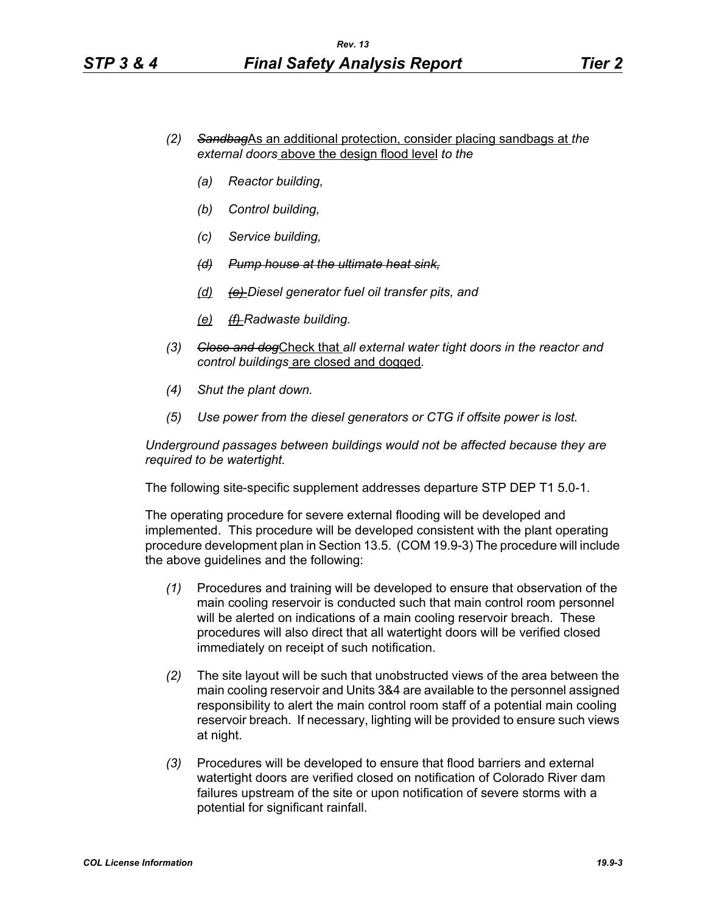- *(2) Sandbag*As an additional protection, consider placing sandbags at *the external doors* above the design flood level *to the*
	- *(a) Reactor building,*
	- *(b) Control building,*
	- *(c) Service building,*
	- *(d) Pump house at the ultimate heat sink,*
	- *(d) (e) Diesel generator fuel oil transfer pits, and*
	- *(e) (f) Radwaste building.*
- *(3) Close and dog*Check that *all external water tight doors in the reactor and control buildings* are closed and dogged*.*
- *(4) Shut the plant down.*
- *(5) Use power from the diesel generators or CTG if offsite power is lost.*

*Underground passages between buildings would not be affected because they are required to be watertight.*

The following site-specific supplement addresses departure STP DEP T1 5.0-1.

The operating procedure for severe external flooding will be developed and implemented. This procedure will be developed consistent with the plant operating procedure development plan in Section 13.5. (COM 19.9-3) The procedure will include the above guidelines and the following:

- *(1)* Procedures and training will be developed to ensure that observation of the main cooling reservoir is conducted such that main control room personnel will be alerted on indications of a main cooling reservoir breach. These procedures will also direct that all watertight doors will be verified closed immediately on receipt of such notification.
- *(2)* The site layout will be such that unobstructed views of the area between the main cooling reservoir and Units 3&4 are available to the personnel assigned responsibility to alert the main control room staff of a potential main cooling reservoir breach. If necessary, lighting will be provided to ensure such views at night.
- *(3)* Procedures will be developed to ensure that flood barriers and external watertight doors are verified closed on notification of Colorado River dam failures upstream of the site or upon notification of severe storms with a potential for significant rainfall.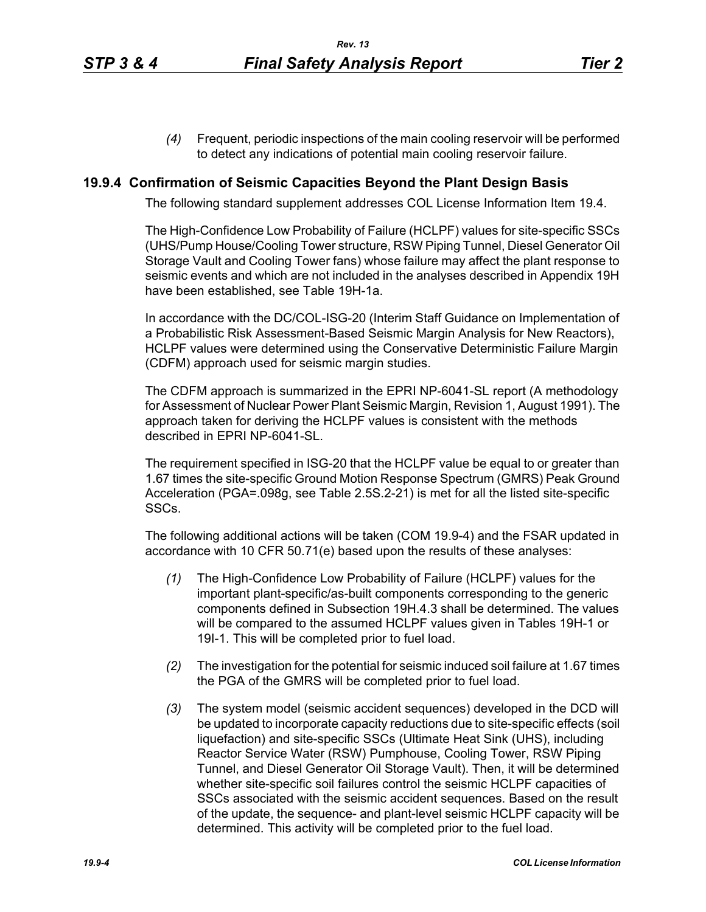*(4)* Frequent, periodic inspections of the main cooling reservoir will be performed to detect any indications of potential main cooling reservoir failure.

### **19.9.4 Confirmation of Seismic Capacities Beyond the Plant Design Basis**

The following standard supplement addresses COL License Information Item 19.4.

The High-Confidence Low Probability of Failure (HCLPF) values for site-specific SSCs (UHS/Pump House/Cooling Tower structure, RSW Piping Tunnel, Diesel Generator Oil Storage Vault and Cooling Tower fans) whose failure may affect the plant response to seismic events and which are not included in the analyses described in Appendix 19H have been established, see Table 19H-1a.

In accordance with the DC/COL-ISG-20 (Interim Staff Guidance on Implementation of a Probabilistic Risk Assessment-Based Seismic Margin Analysis for New Reactors), HCLPF values were determined using the Conservative Deterministic Failure Margin (CDFM) approach used for seismic margin studies.

The CDFM approach is summarized in the EPRI NP-6041-SL report (A methodology for Assessment of Nuclear Power Plant Seismic Margin, Revision 1, August 1991). The approach taken for deriving the HCLPF values is consistent with the methods described in EPRI NP-6041-SL.

The requirement specified in ISG-20 that the HCLPF value be equal to or greater than 1.67 times the site-specific Ground Motion Response Spectrum (GMRS) Peak Ground Acceleration (PGA=.098g, see Table 2.5S.2-21) is met for all the listed site-specific SSCs.

The following additional actions will be taken (COM 19.9-4) and the FSAR updated in accordance with 10 CFR 50.71(e) based upon the results of these analyses:

- *(1)* The High-Confidence Low Probability of Failure (HCLPF) values for the important plant-specific/as-built components corresponding to the generic components defined in Subsection 19H.4.3 shall be determined. The values will be compared to the assumed HCLPF values given in Tables 19H-1 or 19I-1. This will be completed prior to fuel load.
- *(2)* The investigation for the potential for seismic induced soil failure at 1.67 times the PGA of the GMRS will be completed prior to fuel load.
- *(3)* The system model (seismic accident sequences) developed in the DCD will be updated to incorporate capacity reductions due to site-specific effects (soil liquefaction) and site-specific SSCs (Ultimate Heat Sink (UHS), including Reactor Service Water (RSW) Pumphouse, Cooling Tower, RSW Piping Tunnel, and Diesel Generator Oil Storage Vault). Then, it will be determined whether site-specific soil failures control the seismic HCLPF capacities of SSCs associated with the seismic accident sequences. Based on the result of the update, the sequence- and plant-level seismic HCLPF capacity will be determined. This activity will be completed prior to the fuel load.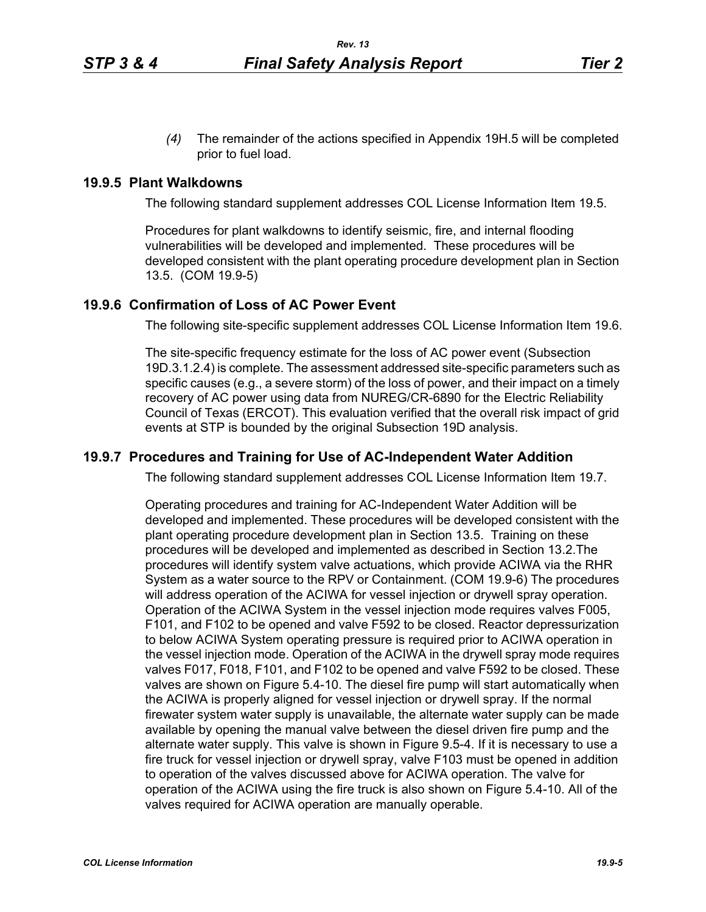*(4)* The remainder of the actions specified in Appendix 19H.5 will be completed prior to fuel load.

#### **19.9.5 Plant Walkdowns**

The following standard supplement addresses COL License Information Item 19.5.

Procedures for plant walkdowns to identify seismic, fire, and internal flooding vulnerabilities will be developed and implemented. These procedures will be developed consistent with the plant operating procedure development plan in Section 13.5. (COM 19.9-5)

### **19.9.6 Confirmation of Loss of AC Power Event**

The following site-specific supplement addresses COL License Information Item 19.6.

The site-specific frequency estimate for the loss of AC power event (Subsection 19D.3.1.2.4) is complete. The assessment addressed site-specific parameters such as specific causes (e.g., a severe storm) of the loss of power, and their impact on a timely recovery of AC power using data from NUREG/CR-6890 for the Electric Reliability Council of Texas (ERCOT). This evaluation verified that the overall risk impact of grid events at STP is bounded by the original Subsection 19D analysis.

#### **19.9.7 Procedures and Training for Use of AC-Independent Water Addition**

The following standard supplement addresses COL License Information Item 19.7.

Operating procedures and training for AC-Independent Water Addition will be developed and implemented. These procedures will be developed consistent with the plant operating procedure development plan in Section 13.5. Training on these procedures will be developed and implemented as described in Section 13.2.The procedures will identify system valve actuations, which provide ACIWA via the RHR System as a water source to the RPV or Containment. (COM 19.9-6) The procedures will address operation of the ACIWA for vessel injection or drywell spray operation. Operation of the ACIWA System in the vessel injection mode requires valves F005, F101, and F102 to be opened and valve F592 to be closed. Reactor depressurization to below ACIWA System operating pressure is required prior to ACIWA operation in the vessel injection mode. Operation of the ACIWA in the drywell spray mode requires valves F017, F018, F101, and F102 to be opened and valve F592 to be closed. These valves are shown on Figure 5.4-10. The diesel fire pump will start automatically when the ACIWA is properly aligned for vessel injection or drywell spray. If the normal firewater system water supply is unavailable, the alternate water supply can be made available by opening the manual valve between the diesel driven fire pump and the alternate water supply. This valve is shown in Figure 9.5-4. If it is necessary to use a fire truck for vessel injection or drywell spray, valve F103 must be opened in addition to operation of the valves discussed above for ACIWA operation. The valve for operation of the ACIWA using the fire truck is also shown on Figure 5.4-10. All of the valves required for ACIWA operation are manually operable.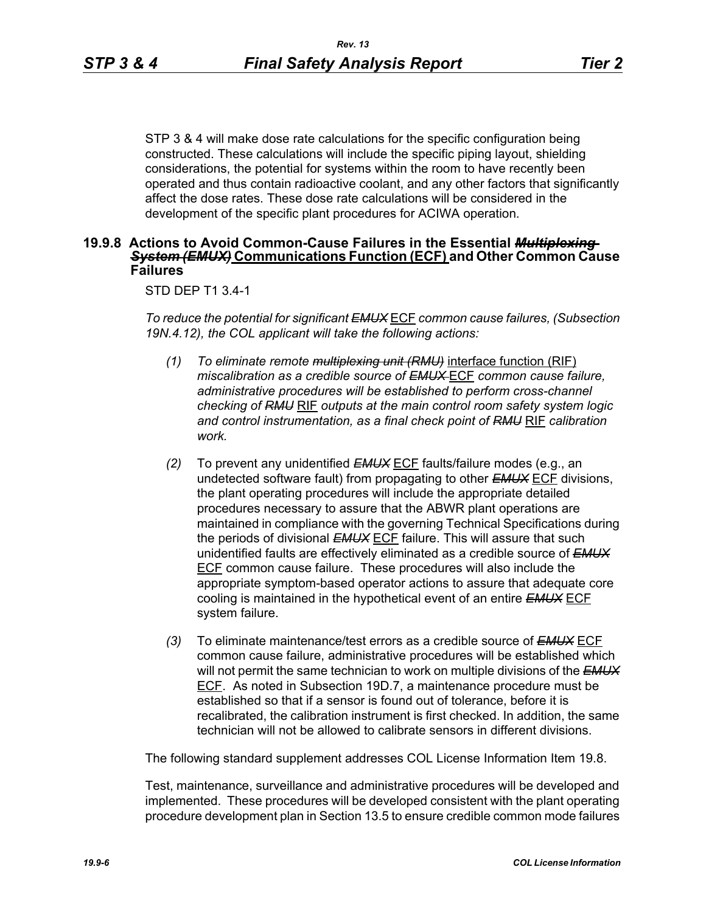STP 3 & 4 will make dose rate calculations for the specific configuration being constructed. These calculations will include the specific piping layout, shielding considerations, the potential for systems within the room to have recently been operated and thus contain radioactive coolant, and any other factors that significantly affect the dose rates. These dose rate calculations will be considered in the development of the specific plant procedures for ACIWA operation.

### **19.9.8 Actions to Avoid Common-Cause Failures in the Essential** *Multiplexing System (EMUX)* **Communications Function (ECF) and Other Common Cause Failures**

#### STD DEP T1 3.4-1

*To reduce the potential for significant EMUX* ECF *common cause failures, (Subsection 19N.4.12), the COL applicant will take the following actions:*

- *(1) To eliminate remote multiplexing unit (RMU)* interface function (RIF) *miscalibration as a credible source of EMUX* ECF *common cause failure, administrative procedures will be established to perform cross-channel checking of RMU* RIF *outputs at the main control room safety system logic and control instrumentation, as a final check point of RMU* RIF *calibration work.*
- *(2)* To prevent any unidentified *EMUX* ECF faults/failure modes (e.g., an undetected software fault) from propagating to other *EMUX* ECF divisions, the plant operating procedures will include the appropriate detailed procedures necessary to assure that the ABWR plant operations are maintained in compliance with the governing Technical Specifications during the periods of divisional *EMUX* ECF failure. This will assure that such unidentified faults are effectively eliminated as a credible source of *EMUX* ECF common cause failure. These procedures will also include the appropriate symptom-based operator actions to assure that adequate core cooling is maintained in the hypothetical event of an entire *EMUX* ECF system failure.
- *(3)* To eliminate maintenance/test errors as a credible source of *EMUX* ECF common cause failure, administrative procedures will be established which will not permit the same technician to work on multiple divisions of the *EMUX* ECF. As noted in Subsection 19D.7, a maintenance procedure must be established so that if a sensor is found out of tolerance, before it is recalibrated, the calibration instrument is first checked. In addition, the same technician will not be allowed to calibrate sensors in different divisions.

The following standard supplement addresses COL License Information Item 19.8.

Test, maintenance, surveillance and administrative procedures will be developed and implemented. These procedures will be developed consistent with the plant operating procedure development plan in Section 13.5 to ensure credible common mode failures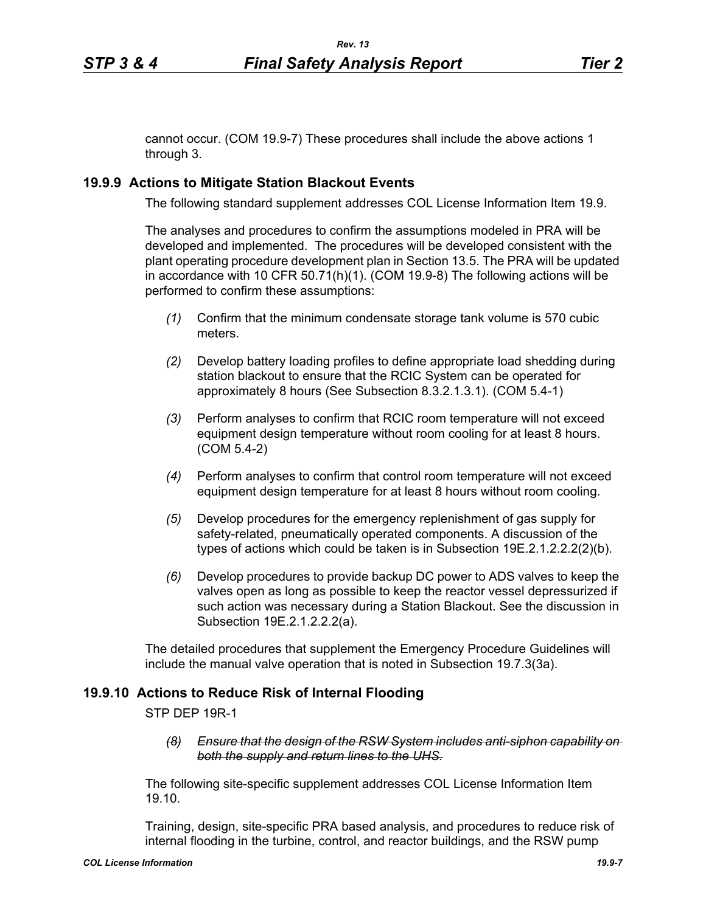cannot occur. (COM 19.9-7) These procedures shall include the above actions 1 through 3.

# **19.9.9 Actions to Mitigate Station Blackout Events**

The following standard supplement addresses COL License Information Item 19.9.

The analyses and procedures to confirm the assumptions modeled in PRA will be developed and implemented. The procedures will be developed consistent with the plant operating procedure development plan in Section 13.5. The PRA will be updated in accordance with 10 CFR 50.71(h)(1). (COM 19.9-8) The following actions will be performed to confirm these assumptions:

- *(1)* Confirm that the minimum condensate storage tank volume is 570 cubic meters.
- *(2)* Develop battery loading profiles to define appropriate load shedding during station blackout to ensure that the RCIC System can be operated for approximately 8 hours (See Subsection 8.3.2.1.3.1). (COM 5.4-1)
- *(3)* Perform analyses to confirm that RCIC room temperature will not exceed equipment design temperature without room cooling for at least 8 hours. (COM 5.4-2)
- *(4)* Perform analyses to confirm that control room temperature will not exceed equipment design temperature for at least 8 hours without room cooling.
- *(5)* Develop procedures for the emergency replenishment of gas supply for safety-related, pneumatically operated components. A discussion of the types of actions which could be taken is in Subsection 19E.2.1.2.2.2(2)(b).
- *(6)* Develop procedures to provide backup DC power to ADS valves to keep the valves open as long as possible to keep the reactor vessel depressurized if such action was necessary during a Station Blackout. See the discussion in Subsection 19E.2.1.2.2.2(a).

The detailed procedures that supplement the Emergency Procedure Guidelines will include the manual valve operation that is noted in Subsection 19.7.3(3a).

### **19.9.10 Actions to Reduce Risk of Internal Flooding**

STP DEP 19R-1

*(8) Ensure that the design of the RSW System includes anti-siphon capability on both the supply and return lines to the UHS.*

The following site-specific supplement addresses COL License Information Item 19.10.

Training, design, site-specific PRA based analysis, and procedures to reduce risk of internal flooding in the turbine, control, and reactor buildings, and the RSW pump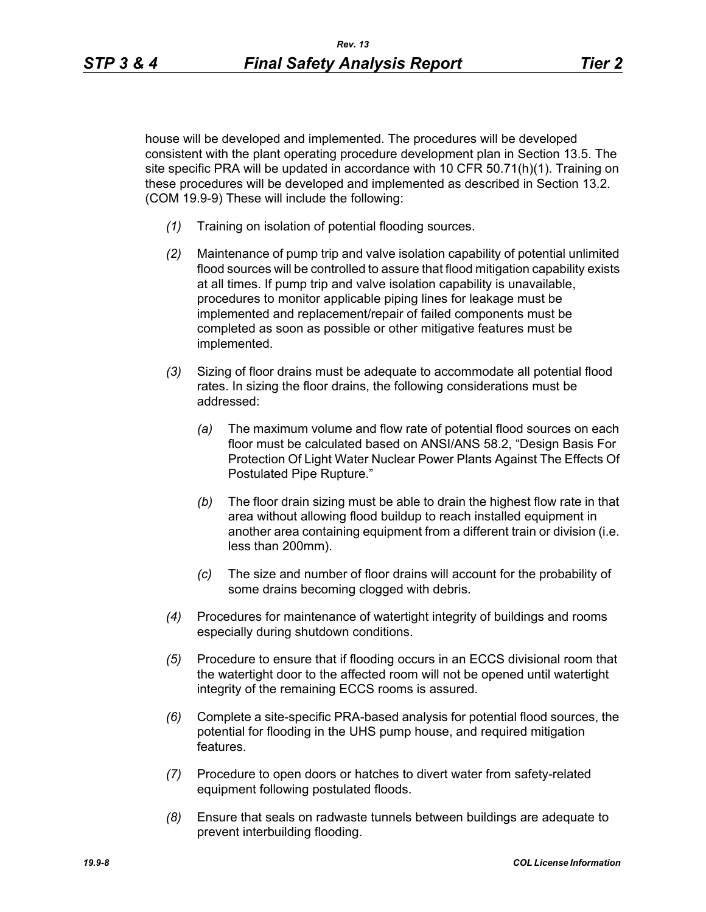house will be developed and implemented. The procedures will be developed consistent with the plant operating procedure development plan in Section 13.5. The site specific PRA will be updated in accordance with 10 CFR 50.71(h)(1). Training on these procedures will be developed and implemented as described in Section 13.2. (COM 19.9-9) These will include the following:

- *(1)* Training on isolation of potential flooding sources.
- *(2)* Maintenance of pump trip and valve isolation capability of potential unlimited flood sources will be controlled to assure that flood mitigation capability exists at all times. If pump trip and valve isolation capability is unavailable, procedures to monitor applicable piping lines for leakage must be implemented and replacement/repair of failed components must be completed as soon as possible or other mitigative features must be implemented.
- *(3)* Sizing of floor drains must be adequate to accommodate all potential flood rates. In sizing the floor drains, the following considerations must be addressed:
	- *(a)* The maximum volume and flow rate of potential flood sources on each floor must be calculated based on ANSI/ANS 58.2, "Design Basis For Protection Of Light Water Nuclear Power Plants Against The Effects Of Postulated Pipe Rupture."
	- *(b)* The floor drain sizing must be able to drain the highest flow rate in that area without allowing flood buildup to reach installed equipment in another area containing equipment from a different train or division (i.e. less than 200mm).
	- *(c)* The size and number of floor drains will account for the probability of some drains becoming clogged with debris.
- *(4)* Procedures for maintenance of watertight integrity of buildings and rooms especially during shutdown conditions.
- *(5)* Procedure to ensure that if flooding occurs in an ECCS divisional room that the watertight door to the affected room will not be opened until watertight integrity of the remaining ECCS rooms is assured.
- *(6)* Complete a site-specific PRA-based analysis for potential flood sources, the potential for flooding in the UHS pump house, and required mitigation features.
- *(7)* Procedure to open doors or hatches to divert water from safety-related equipment following postulated floods.
- *(8)* Ensure that seals on radwaste tunnels between buildings are adequate to prevent interbuilding flooding.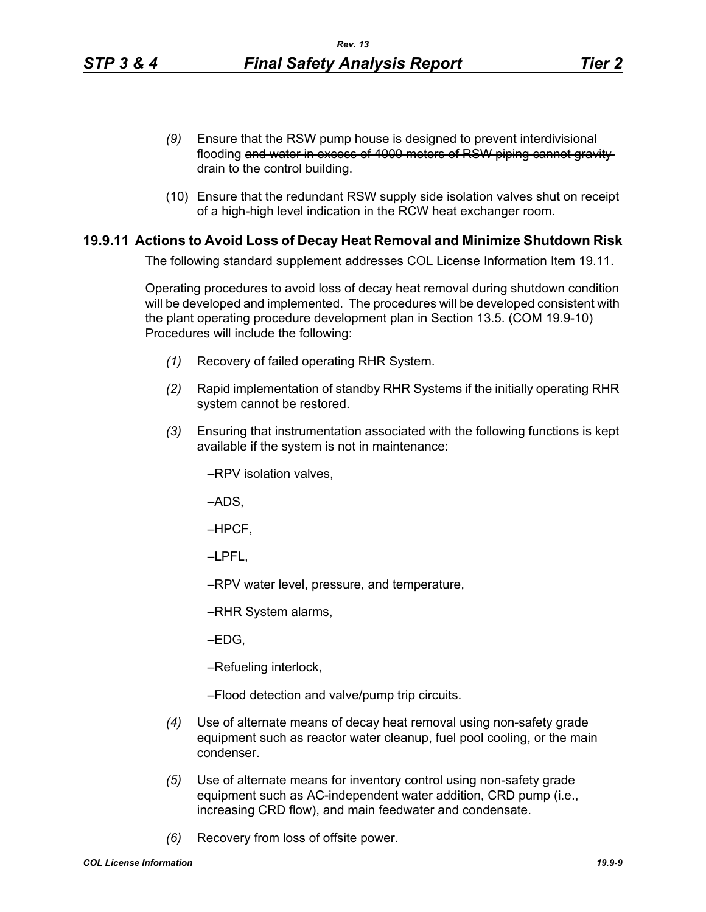- *(9)* Ensure that the RSW pump house is designed to prevent interdivisional flooding and water in excess of 4000 meters of RSW piping cannot gravity drain to the control building.
- (10) Ensure that the redundant RSW supply side isolation valves shut on receipt of a high-high level indication in the RCW heat exchanger room.

## **19.9.11 Actions to Avoid Loss of Decay Heat Removal and Minimize Shutdown Risk**

The following standard supplement addresses COL License Information Item 19.11.

Operating procedures to avoid loss of decay heat removal during shutdown condition will be developed and implemented. The procedures will be developed consistent with the plant operating procedure development plan in Section 13.5. (COM 19.9-10) Procedures will include the following:

- *(1)* Recovery of failed operating RHR System.
- *(2)* Rapid implementation of standby RHR Systems if the initially operating RHR system cannot be restored.
- *(3)* Ensuring that instrumentation associated with the following functions is kept available if the system is not in maintenance:

–RPV isolation valves,

–ADS,

–HPCF,

–LPFL,

–RPV water level, pressure, and temperature,

–RHR System alarms,

–EDG,

–Refueling interlock,

–Flood detection and valve/pump trip circuits.

- *(4)* Use of alternate means of decay heat removal using non-safety grade equipment such as reactor water cleanup, fuel pool cooling, or the main condenser.
- *(5)* Use of alternate means for inventory control using non-safety grade equipment such as AC-independent water addition, CRD pump (i.e., increasing CRD flow), and main feedwater and condensate.
- *(6)* Recovery from loss of offsite power.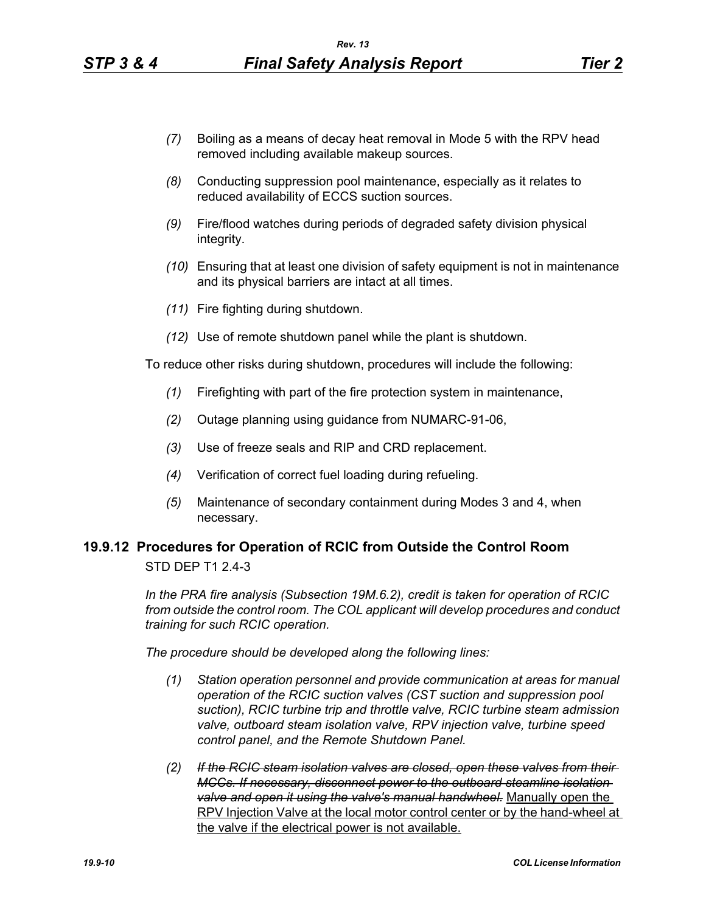- *(7)* Boiling as a means of decay heat removal in Mode 5 with the RPV head removed including available makeup sources.
- *(8)* Conducting suppression pool maintenance, especially as it relates to reduced availability of ECCS suction sources.
- *(9)* Fire/flood watches during periods of degraded safety division physical integrity.
- *(10)* Ensuring that at least one division of safety equipment is not in maintenance and its physical barriers are intact at all times.
- *(11)* Fire fighting during shutdown.
- *(12)* Use of remote shutdown panel while the plant is shutdown.

To reduce other risks during shutdown, procedures will include the following:

- *(1)* Firefighting with part of the fire protection system in maintenance,
- *(2)* Outage planning using guidance from NUMARC-91-06,
- *(3)* Use of freeze seals and RIP and CRD replacement.
- *(4)* Verification of correct fuel loading during refueling.
- *(5)* Maintenance of secondary containment during Modes 3 and 4, when necessary.

## **19.9.12 Procedures for Operation of RCIC from Outside the Control Room** STD DEP T1 2.4-3

*In the PRA fire analysis (Subsection 19M.6.2), credit is taken for operation of RCIC from outside the control room. The COL applicant will develop procedures and conduct training for such RCIC operation.*

*The procedure should be developed along the following lines:*

- *(1) Station operation personnel and provide communication at areas for manual operation of the RCIC suction valves (CST suction and suppression pool suction), RCIC turbine trip and throttle valve, RCIC turbine steam admission valve, outboard steam isolation valve, RPV injection valve, turbine speed control panel, and the Remote Shutdown Panel.*
- *(2) If the RCIC steam isolation valves are closed, open these valves from their MCCs. If necessary, disconnect power to the outboard steamline isolation valve and open it using the valve's manual handwheel.* Manually open the RPV Injection Valve at the local motor control center or by the hand-wheel at the valve if the electrical power is not available.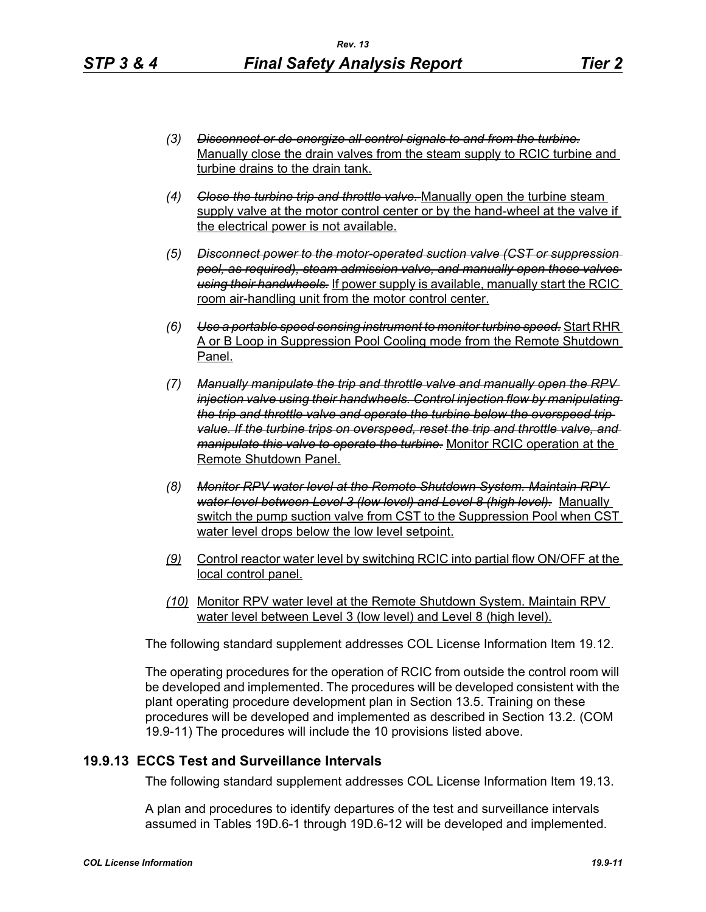- *(3) Disconnect or de-energize all control signals to and from the turbine.* Manually close the drain valves from the steam supply to RCIC turbine and turbine drains to the drain tank.
- *(4) Close the turbine trip and throttle valve.* Manually open the turbine steam supply valve at the motor control center or by the hand-wheel at the valve if the electrical power is not available.
- *(5) Disconnect power to the motor-operated suction valve (CST or suppression pool, as required), steam admission valve, and manually open these valves using their handwheels.* If power supply is available, manually start the RCIC room air-handling unit from the motor control center.
- *(6) Use a portable speed sensing instrument to monitor turbine speed.* Start RHR A or B Loop in Suppression Pool Cooling mode from the Remote Shutdown Panel.
- *(7) Manually manipulate the trip and throttle valve and manually open the RPV injection valve using their handwheels. Control injection flow by manipulating the trip and throttle valve and operate the turbine below the overspeed trip value. If the turbine trips on overspeed, reset the trip and throttle valve, and manipulate this valve to operate the turbine.* Monitor RCIC operation at the Remote Shutdown Panel.
- *(8) Monitor RPV water level at the Remote Shutdown System. Maintain RPV water level between Level 3 (low level) and Level 8 (high level).* Manually switch the pump suction valve from CST to the Suppression Pool when CST water level drops below the low level setpoint.
- *(9)* Control reactor water level by switching RCIC into partial flow ON/OFF at the local control panel.
- *(10)* Monitor RPV water level at the Remote Shutdown System. Maintain RPV water level between Level 3 (low level) and Level 8 (high level).

The following standard supplement addresses COL License Information Item 19.12.

The operating procedures for the operation of RCIC from outside the control room will be developed and implemented. The procedures will be developed consistent with the plant operating procedure development plan in Section 13.5. Training on these procedures will be developed and implemented as described in Section 13.2. (COM 19.9-11) The procedures will include the 10 provisions listed above.

### **19.9.13 ECCS Test and Surveillance Intervals**

The following standard supplement addresses COL License Information Item 19.13.

A plan and procedures to identify departures of the test and surveillance intervals assumed in Tables 19D.6-1 through 19D.6-12 will be developed and implemented.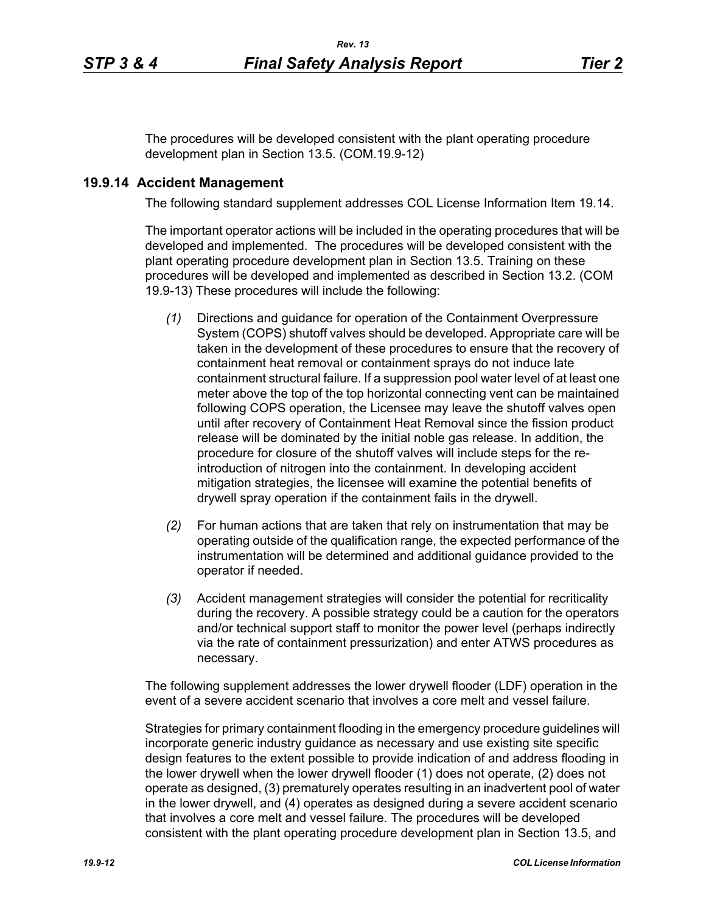The procedures will be developed consistent with the plant operating procedure development plan in Section 13.5. (COM.19.9-12)

# **19.9.14 Accident Management**

The following standard supplement addresses COL License Information Item 19.14.

The important operator actions will be included in the operating procedures that will be developed and implemented. The procedures will be developed consistent with the plant operating procedure development plan in Section 13.5. Training on these procedures will be developed and implemented as described in Section 13.2. (COM 19.9-13) These procedures will include the following:

- *(1)* Directions and guidance for operation of the Containment Overpressure System (COPS) shutoff valves should be developed. Appropriate care will be taken in the development of these procedures to ensure that the recovery of containment heat removal or containment sprays do not induce late containment structural failure. If a suppression pool water level of at least one meter above the top of the top horizontal connecting vent can be maintained following COPS operation, the Licensee may leave the shutoff valves open until after recovery of Containment Heat Removal since the fission product release will be dominated by the initial noble gas release. In addition, the procedure for closure of the shutoff valves will include steps for the reintroduction of nitrogen into the containment. In developing accident mitigation strategies, the licensee will examine the potential benefits of drywell spray operation if the containment fails in the drywell.
- *(2)* For human actions that are taken that rely on instrumentation that may be operating outside of the qualification range, the expected performance of the instrumentation will be determined and additional guidance provided to the operator if needed.
- *(3)* Accident management strategies will consider the potential for recriticality during the recovery. A possible strategy could be a caution for the operators and/or technical support staff to monitor the power level (perhaps indirectly via the rate of containment pressurization) and enter ATWS procedures as necessary.

The following supplement addresses the lower drywell flooder (LDF) operation in the event of a severe accident scenario that involves a core melt and vessel failure.

Strategies for primary containment flooding in the emergency procedure guidelines will incorporate generic industry guidance as necessary and use existing site specific design features to the extent possible to provide indication of and address flooding in the lower drywell when the lower drywell flooder (1) does not operate, (2) does not operate as designed, (3) prematurely operates resulting in an inadvertent pool of water in the lower drywell, and (4) operates as designed during a severe accident scenario that involves a core melt and vessel failure. The procedures will be developed consistent with the plant operating procedure development plan in Section 13.5, and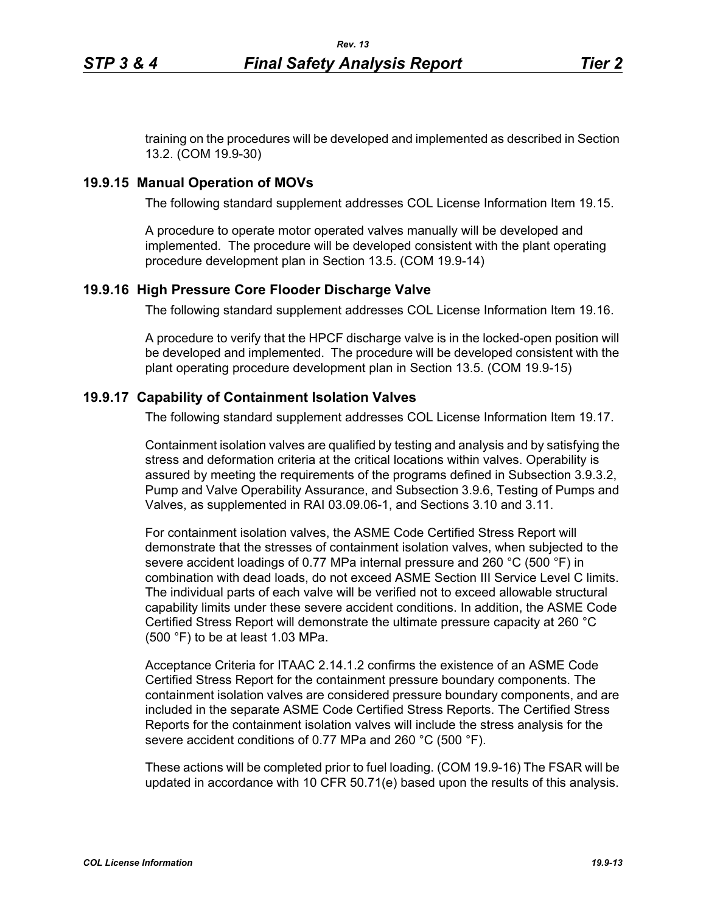training on the procedures will be developed and implemented as described in Section 13.2. (COM 19.9-30)

#### **19.9.15 Manual Operation of MOVs**

The following standard supplement addresses COL License Information Item 19.15.

A procedure to operate motor operated valves manually will be developed and implemented. The procedure will be developed consistent with the plant operating procedure development plan in Section 13.5. (COM 19.9-14)

### **19.9.16 High Pressure Core Flooder Discharge Valve**

The following standard supplement addresses COL License Information Item 19.16.

A procedure to verify that the HPCF discharge valve is in the locked-open position will be developed and implemented. The procedure will be developed consistent with the plant operating procedure development plan in Section 13.5. (COM 19.9-15)

#### **19.9.17 Capability of Containment Isolation Valves**

The following standard supplement addresses COL License Information Item 19.17.

Containment isolation valves are qualified by testing and analysis and by satisfying the stress and deformation criteria at the critical locations within valves. Operability is assured by meeting the requirements of the programs defined in Subsection 3.9.3.2, Pump and Valve Operability Assurance, and Subsection 3.9.6, Testing of Pumps and Valves, as supplemented in RAI 03.09.06-1, and Sections 3.10 and 3.11.

For containment isolation valves, the ASME Code Certified Stress Report will demonstrate that the stresses of containment isolation valves, when subjected to the severe accident loadings of 0.77 MPa internal pressure and 260 °C (500 °F) in combination with dead loads, do not exceed ASME Section III Service Level C limits. The individual parts of each valve will be verified not to exceed allowable structural capability limits under these severe accident conditions. In addition, the ASME Code Certified Stress Report will demonstrate the ultimate pressure capacity at 260 °C (500 °F) to be at least 1.03 MPa.

Acceptance Criteria for ITAAC 2.14.1.2 confirms the existence of an ASME Code Certified Stress Report for the containment pressure boundary components. The containment isolation valves are considered pressure boundary components, and are included in the separate ASME Code Certified Stress Reports. The Certified Stress Reports for the containment isolation valves will include the stress analysis for the severe accident conditions of 0.77 MPa and 260 °C (500 °F).

These actions will be completed prior to fuel loading. (COM 19.9-16) The FSAR will be updated in accordance with 10 CFR 50.71(e) based upon the results of this analysis.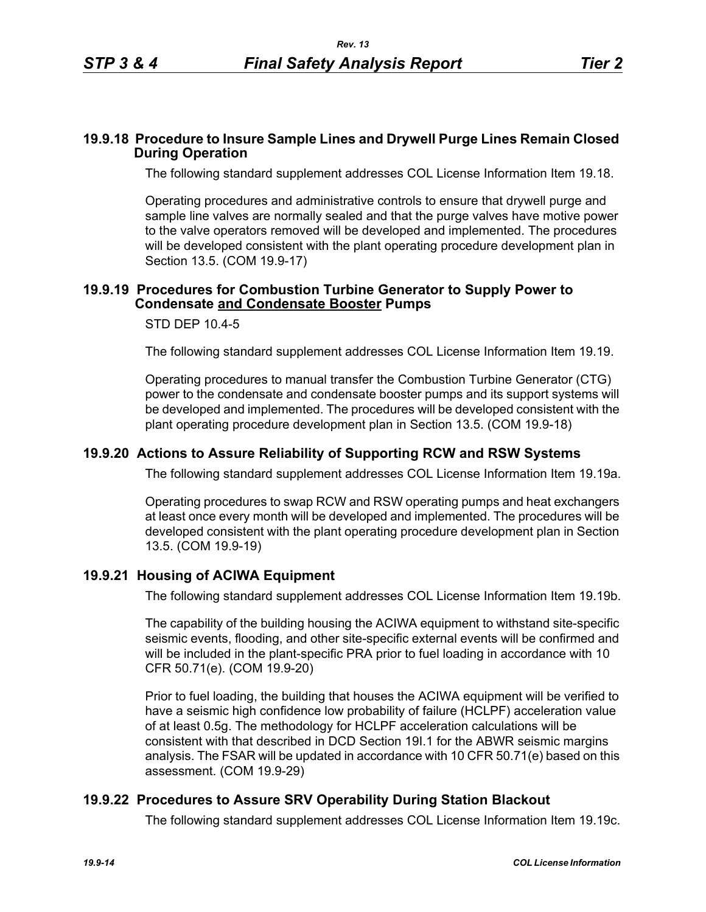### **19.9.18 Procedure to Insure Sample Lines and Drywell Purge Lines Remain Closed During Operation**

The following standard supplement addresses COL License Information Item 19.18.

Operating procedures and administrative controls to ensure that drywell purge and sample line valves are normally sealed and that the purge valves have motive power to the valve operators removed will be developed and implemented. The procedures will be developed consistent with the plant operating procedure development plan in Section 13.5. (COM 19.9-17)

## **19.9.19 Procedures for Combustion Turbine Generator to Supply Power to Condensate and Condensate Booster Pumps**

### STD DEP 10.4-5

The following standard supplement addresses COL License Information Item 19.19.

Operating procedures to manual transfer the Combustion Turbine Generator (CTG) power to the condensate and condensate booster pumps and its support systems will be developed and implemented. The procedures will be developed consistent with the plant operating procedure development plan in Section 13.5. (COM 19.9-18)

## **19.9.20 Actions to Assure Reliability of Supporting RCW and RSW Systems**

The following standard supplement addresses COL License Information Item 19.19a.

Operating procedures to swap RCW and RSW operating pumps and heat exchangers at least once every month will be developed and implemented. The procedures will be developed consistent with the plant operating procedure development plan in Section 13.5. (COM 19.9-19)

### **19.9.21 Housing of ACIWA Equipment**

The following standard supplement addresses COL License Information Item 19.19b.

The capability of the building housing the ACIWA equipment to withstand site-specific seismic events, flooding, and other site-specific external events will be confirmed and will be included in the plant-specific PRA prior to fuel loading in accordance with 10 CFR 50.71(e). (COM 19.9-20)

Prior to fuel loading, the building that houses the ACIWA equipment will be verified to have a seismic high confidence low probability of failure (HCLPF) acceleration value of at least 0.5g. The methodology for HCLPF acceleration calculations will be consistent with that described in DCD Section 19I.1 for the ABWR seismic margins analysis. The FSAR will be updated in accordance with 10 CFR 50.71(e) based on this assessment. (COM 19.9-29)

### **19.9.22 Procedures to Assure SRV Operability During Station Blackout**

The following standard supplement addresses COL License Information Item 19.19c.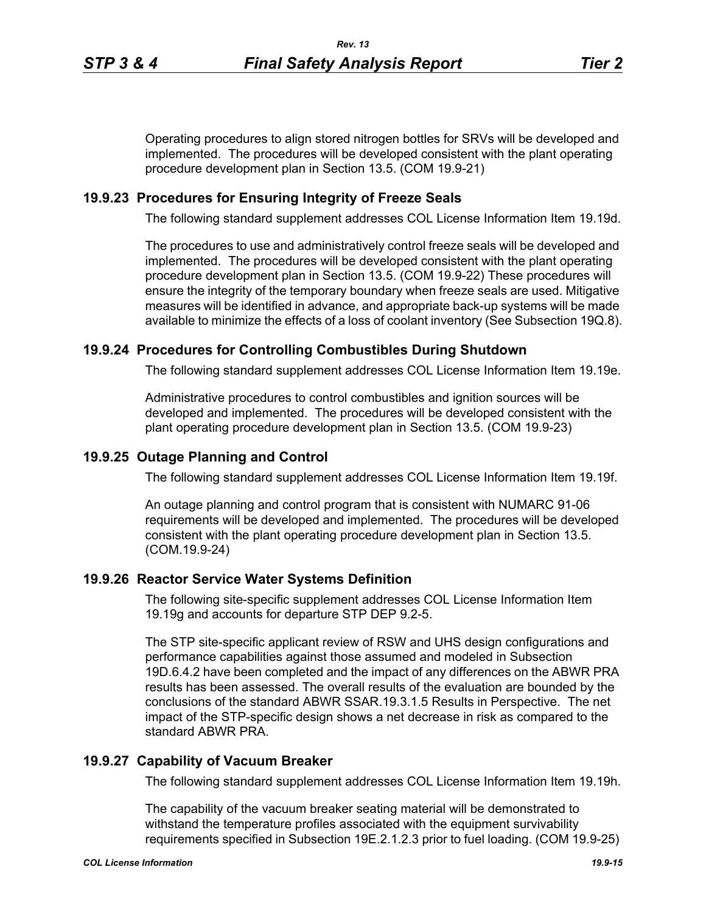Operating procedures to align stored nitrogen bottles for SRVs will be developed and implemented. The procedures will be developed consistent with the plant operating procedure development plan in Section 13.5. (COM 19.9-21)

### **19.9.23 Procedures for Ensuring Integrity of Freeze Seals**

The following standard supplement addresses COL License Information Item 19.19d.

The procedures to use and administratively control freeze seals will be developed and implemented. The procedures will be developed consistent with the plant operating procedure development plan in Section 13.5. (COM 19.9-22) These procedures will ensure the integrity of the temporary boundary when freeze seals are used. Mitigative measures will be identified in advance, and appropriate back-up systems will be made available to minimize the effects of a loss of coolant inventory (See Subsection 19Q.8).

### **19.9.24 Procedures for Controlling Combustibles During Shutdown**

The following standard supplement addresses COL License Information Item 19.19e.

Administrative procedures to control combustibles and ignition sources will be developed and implemented. The procedures will be developed consistent with the plant operating procedure development plan in Section 13.5. (COM 19.9-23)

## **19.9.25 Outage Planning and Control**

The following standard supplement addresses COL License Information Item 19.19f.

An outage planning and control program that is consistent with NUMARC 91-06 requirements will be developed and implemented. The procedures will be developed consistent with the plant operating procedure development plan in Section 13.5. (COM.19.9-24)

### **19.9.26 Reactor Service Water Systems Definition**

The following site-specific supplement addresses COL License Information Item 19.19g and accounts for departure STP DEP 9.2-5.

The STP site-specific applicant review of RSW and UHS design configurations and performance capabilities against those assumed and modeled in Subsection 19D.6.4.2 have been completed and the impact of any differences on the ABWR PRA results has been assessed. The overall results of the evaluation are bounded by the conclusions of the standard ABWR SSAR.19.3.1.5 Results in Perspective. The net impact of the STP-specific design shows a net decrease in risk as compared to the standard ABWR PRA.

### **19.9.27 Capability of Vacuum Breaker**

The following standard supplement addresses COL License Information Item 19.19h.

The capability of the vacuum breaker seating material will be demonstrated to withstand the temperature profiles associated with the equipment survivability requirements specified in Subsection 19E.2.1.2.3 prior to fuel loading. (COM 19.9-25)